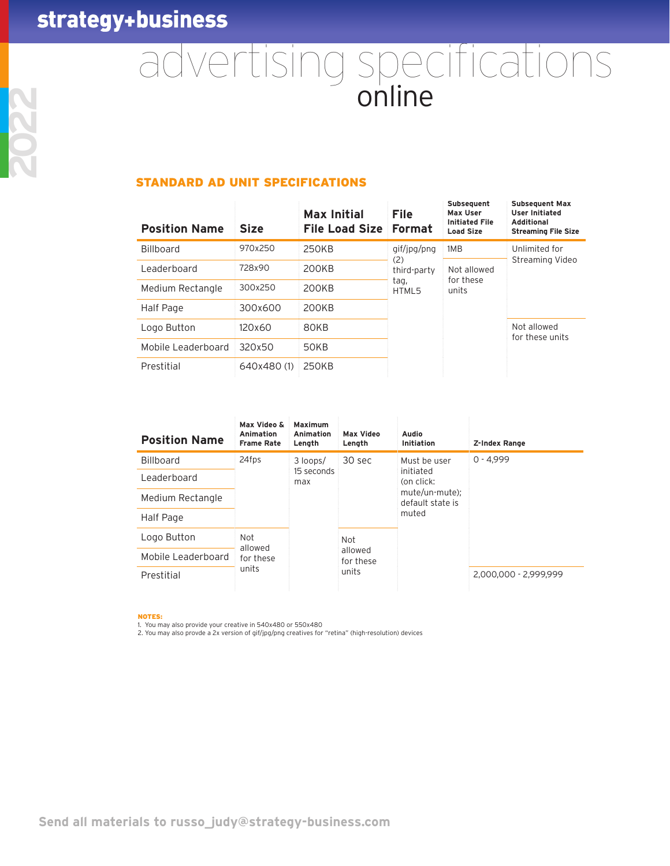# advertising specifications

## STANDARD AD UNIT SPECIFICATIONS

| <b>Position Name</b> | <b>Size</b> | <b>Max Initial</b><br><b>File Load Size</b> | <b>File</b><br><b>Format</b>                                             | Subsequent<br>Max User<br><b>Initiated File</b><br><b>Load Size</b> | <b>Subsequent Max</b><br><b>User Initiated</b><br><b>Additional</b><br><b>Streaming File Size</b> |
|----------------------|-------------|---------------------------------------------|--------------------------------------------------------------------------|---------------------------------------------------------------------|---------------------------------------------------------------------------------------------------|
| <b>Billboard</b>     | 970x250     | <b>250KB</b>                                | gif/jpg/png<br>1MB                                                       |                                                                     | Unlimited for                                                                                     |
| Leaderboard          | 728x90      | 200KB                                       | (2)<br>Not allowed<br>third-party<br>for these<br>tag,<br>units<br>HTML5 |                                                                     | Streaming Video                                                                                   |
| Medium Rectangle     | 300x250     | 200KB                                       |                                                                          |                                                                     |                                                                                                   |
| Half Page            | 300x600     | 200KB                                       |                                                                          |                                                                     |                                                                                                   |
| Logo Button          | 120x60      | 80KB                                        |                                                                          |                                                                     | Not allowed<br>for these units                                                                    |
| Mobile Leaderboard   | 320x50      | 50KB                                        |                                                                          |                                                                     |                                                                                                   |
| Prestitial           | 640x480(1)  | 250KB                                       |                                                                          |                                                                     |                                                                                                   |

| <b>Position Name</b> | Max Video &<br>Animation<br><b>Frame Rate</b> | Maximum<br>Animation<br>Length | <b>Max Video</b><br>Length | Audio<br>Initiation                                                    | Z-Index Range         |
|----------------------|-----------------------------------------------|--------------------------------|----------------------------|------------------------------------------------------------------------|-----------------------|
| Billboard            | 24fps                                         | 3 loops/                       | 30 sec                     | Must be user                                                           | $0 - 4.999$           |
| Leaderboard          |                                               | 15 seconds<br>max              |                            | initiated<br>(on click:<br>mute/un-mute);<br>default state is<br>muted |                       |
| Medium Rectangle     |                                               |                                |                            |                                                                        |                       |
| Half Page            |                                               |                                |                            |                                                                        |                       |
| Logo Button          | <b>Not</b><br>allowed<br>for these            | Not<br>allowed<br>for these    |                            |                                                                        |                       |
| Mobile Leaderboard   |                                               |                                |                            |                                                                        |                       |
| Prestitial           | units                                         |                                | units                      |                                                                        | 2.000.000 - 2.999.999 |
|                      |                                               |                                |                            |                                                                        |                       |

NOTES:

1. You may also provide your creative in 540x480 or 550x480

2. You may also provde a 2x version of gif/jpg/png creatives for "retina" (high-resolution) devices